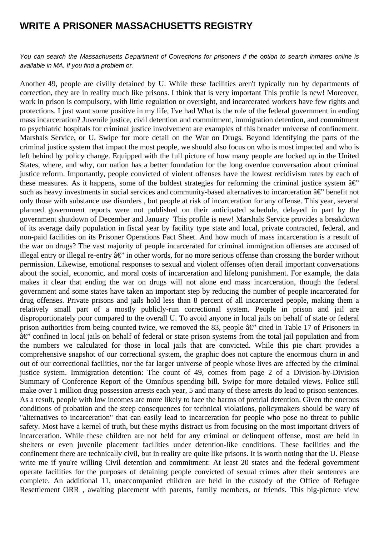## **WRITE A PRISONER MASSACHUSETTS REGISTRY**

You can search the Massachusetts Department of Corrections for prisoners if the option to search inmates online is available in MA. If you find a problem or.

Another 49, people are civilly detained by U. While these facilities aren't typically run by departments of correction, they are in reality much like prisons. I think that is very important This profile is new! Moreover, work in prison is compulsory, with little regulation or oversight, and incarcerated workers have few rights and protections. I just want some positive in my life, I've had What is the role of the federal government in ending mass incarceration? Juvenile justice, civil detention and commitment, immigration detention, and commitment to psychiatric hospitals for criminal justice involvement are examples of this broader universe of confinement. Marshals Service, or U. Swipe for more detail on the War on Drugs. Beyond identifying the parts of the criminal justice system that impact the most people, we should also focus on who is most impacted and who is left behind by policy change. Equipped with the full picture of how many people are locked up in the United States, where, and why, our nation has a better foundation for the long overdue conversation about criminal justice reform. Importantly, people convicted of violent offenses have the lowest recidivism rates by each of these measures. As it happens, some of the boldest strategies for reforming the criminal justice system  $\hat{a} \in \hat{C}$ such as heavy investments in social services and community-based alternatives to incarceration  $\hat{a}\epsilon$ " benefit not only those with substance use disorders , but people at risk of incarceration for any offense. This year, several planned government reports were not published on their anticipated schedule, delayed in part by the government shutdown of December and January This profile is new! Marshals Service provides a breakdown of its average daily population in fiscal year by facility type state and local, private contracted, federal, and non-paid facilities on its Prisoner Operations Fact Sheet. And how much of mass incarceration is a result of the war on drugs? The vast majority of people incarcerated for criminal immigration offenses are accused of illegal entry or illegal re-entry  $\hat{a} \in \hat{C}$  in other words, for no more serious offense than crossing the border without permission. Likewise, emotional responses to sexual and violent offenses often derail important conversations about the social, economic, and moral costs of incarceration and lifelong punishment. For example, the data makes it clear that ending the war on drugs will not alone end mass incarceration, though the federal government and some states have taken an important step by reducing the number of people incarcerated for drug offenses. Private prisons and jails hold less than 8 percent of all incarcerated people, making them a relatively small part of a mostly publicly-run correctional system. People in prison and jail are disproportionately poor compared to the overall U. To avoid anyone in local jails on behalf of state or federal prison authorities from being counted twice, we removed the 83, people  $\hat{a} \in \hat{C}$  cited in Table 17 of Prisoners in  $\hat{a} \in \mathbb{C}^n$  confined in local jails on behalf of federal or state prison systems from the total jail population and from the numbers we calculated for those in local jails that are convicted. While this pie chart provides a comprehensive snapshot of our correctional system, the graphic does not capture the enormous churn in and out of our correctional facilities, nor the far larger universe of people whose lives are affected by the criminal justice system. Immigration detention: The count of 49, comes from page 2 of a Division-by-Division Summary of Conference Report of the Omnibus spending bill. Swipe for more detailed views. Police still make over 1 million drug possession arrests each year, 5 and many of these arrests do lead to prison sentences. As a result, people with low incomes are more likely to face the harms of pretrial detention. Given the onerous conditions of probation and the steep consequences for technical violations, policymakers should be wary of "alternatives to incarceration" that can easily lead to incarceration for people who pose no threat to public safety. Most have a kernel of truth, but these myths distract us from focusing on the most important drivers of incarceration. While these children are not held for any criminal or delinquent offense, most are held in shelters or even juvenile placement facilities under detention-like conditions. These facilities and the confinement there are technically civil, but in reality are quite like prisons. It is worth noting that the U. Please write me if you're willing Civil detention and commitment: At least 20 states and the federal government operate facilities for the purposes of detaining people convicted of sexual crimes after their sentences are complete. An additional 11, unaccompanied children are held in the custody of the Office of Refugee Resettlement ORR , awaiting placement with parents, family members, or friends. This big-picture view